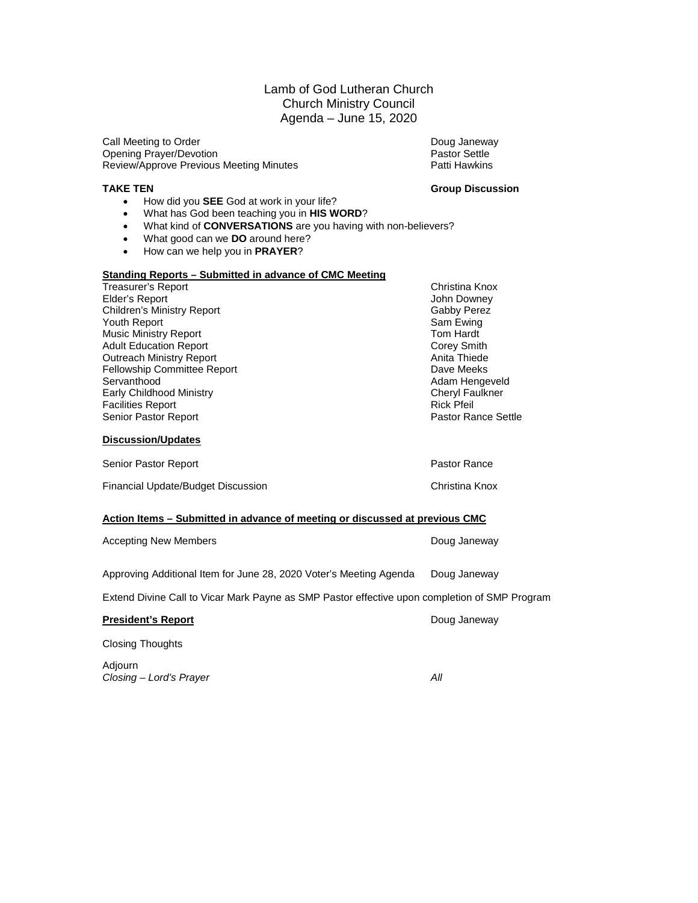### Lamb of God Lutheran Church Church Ministry Council Agenda – June 15, 2020

Call Meeting to Order **Doug Janeway Doug Janeway** Opening Prayer/Devotion and Decision Settle Practic Pastor Settle<br>Review/Approve Previous Meeting Minutes All Patti Hawkins Review/Approve Previous Meeting Minutes

- **TAKE TEN Group Discussion** • How did you **SEE** God at work in your life?
	- What has God been teaching you in **HIS WORD**?
	- What kind of **CONVERSATIONS** are you having with non-believers?
	- What good can we **DO** around here?
	- How can we help you in **PRAYER**?

#### **Standing Reports – Submitted in advance of CMC Meeting**

| <b>Treasurer's Report</b>          | Christina Knox         |  |  |
|------------------------------------|------------------------|--|--|
| Elder's Report                     | John Downey            |  |  |
| <b>Children's Ministry Report</b>  | Gabby Perez            |  |  |
| Youth Report                       | Sam Ewing              |  |  |
| <b>Music Ministry Report</b>       | Tom Hardt              |  |  |
| <b>Adult Education Report</b>      | <b>Corey Smith</b>     |  |  |
| <b>Outreach Ministry Report</b>    | Anita Thiede           |  |  |
| <b>Fellowship Committee Report</b> | Dave Meeks             |  |  |
| Servanthood                        | Adam Hengeveld         |  |  |
| Early Childhood Ministry           | <b>Cheryl Faulkner</b> |  |  |
| <b>Facilities Report</b>           | <b>Rick Pfeil</b>      |  |  |
| Senior Pastor Report               | Pastor Rance Settle    |  |  |
| <b>Discussion/Updates</b>          |                        |  |  |
| Senior Pastor Report               | Pastor Rance           |  |  |

Financial Update/Budget Discussion Christina Knox

### **Action Items – Submitted in advance of meeting or discussed at previous CMC**

| <b>Accepting New Members</b>                                                                  | Doug Janeway |  |  |  |  |  |
|-----------------------------------------------------------------------------------------------|--------------|--|--|--|--|--|
| Approving Additional Item for June 28, 2020 Voter's Meeting Agenda                            | Doug Janeway |  |  |  |  |  |
| Extend Divine Call to Vicar Mark Payne as SMP Pastor effective upon completion of SMP Program |              |  |  |  |  |  |
| <b>President's Report</b>                                                                     | Doug Janeway |  |  |  |  |  |
| <b>Closing Thoughts</b>                                                                       |              |  |  |  |  |  |
| Adjourn                                                                                       |              |  |  |  |  |  |

*Closing – Lord's Prayer All*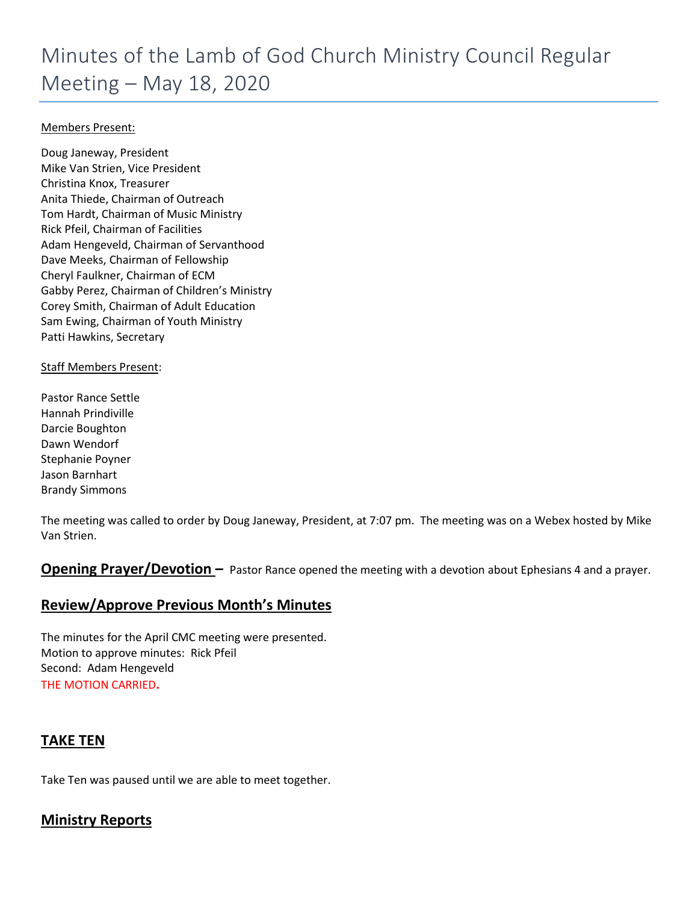### Members Present:

Doug Janeway, President Mike Van Strien, Vice President Christina Knox, Treasurer Anita Thiede, Chairman of Outreach Tom Hardt, Chairman of Music Ministry Rick Pfeil, Chairman of Facilities Adam Hengeveld, Chairman of Servanthood Dave Meeks, Chairman of Fellowship Cheryl Faulkner, Chairman of ECM Gabby Perez, Chairman of Children's Ministry Corey Smith, Chairman of Adult Education Sam Ewing, Chairman of Youth Ministry Patti Hawkins, Secretary

### Staff Members Present:

Pastor Rance Settle Hannah Prindiville Darcie Boughton Dawn Wendorf Stephanie Poyner Jason Barnhart Brandy Simmons

The meeting was called to order by Doug Janeway, President, at 7:07 pm. The meeting was on a Webex hosted by Mike Van Strien.

**Opening Prayer/Devotion –** Pastor Rance opened the meeting with a devotion about Ephesians 4 and a prayer.

### **Review/Approve Previous Month's Minutes**

The minutes for the April CMC meeting were presented. Motion to approve minutes: Rick Pfeil Second: Adam Hengeveld THE MOTION CARRIED**.**

### **TAKE TEN**

Take Ten was paused until we are able to meet together.

### **Ministry Reports**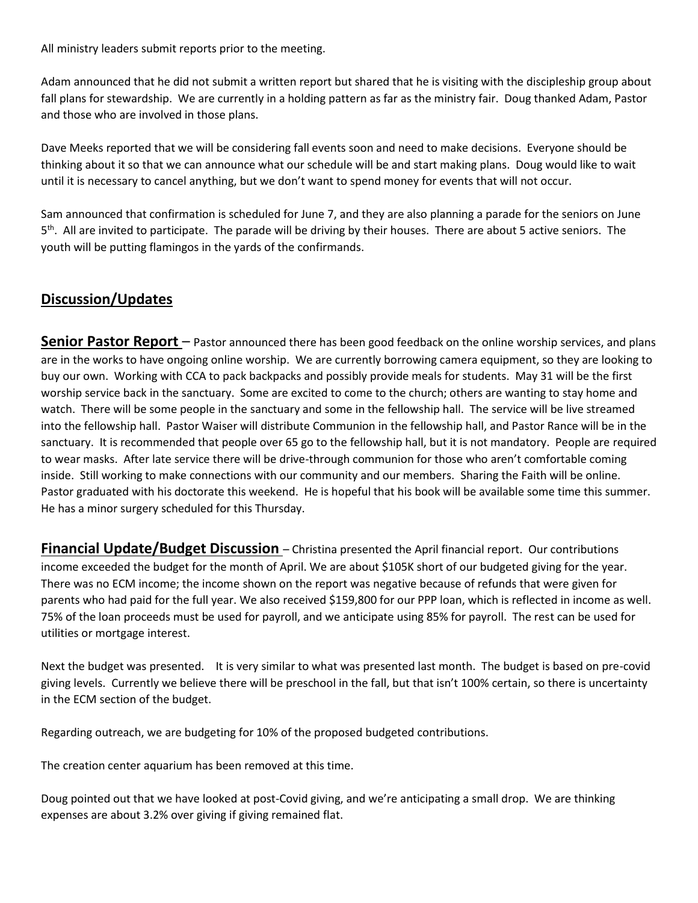All ministry leaders submit reports prior to the meeting.

Adam announced that he did not submit a written report but shared that he is visiting with the discipleship group about fall plans for stewardship. We are currently in a holding pattern as far as the ministry fair. Doug thanked Adam, Pastor and those who are involved in those plans.

Dave Meeks reported that we will be considering fall events soon and need to make decisions. Everyone should be thinking about it so that we can announce what our schedule will be and start making plans. Doug would like to wait until it is necessary to cancel anything, but we don't want to spend money for events that will not occur.

Sam announced that confirmation is scheduled for June 7, and they are also planning a parade for the seniors on June 5<sup>th</sup>. All are invited to participate. The parade will be driving by their houses. There are about 5 active seniors. The youth will be putting flamingos in the yards of the confirmands.

### **Discussion/Updates**

**Senior Pastor Report** – Pastor announced there has been good feedback on the online worship services, and plans are in the works to have ongoing online worship. We are currently borrowing camera equipment, so they are looking to buy our own. Working with CCA to pack backpacks and possibly provide meals for students. May 31 will be the first worship service back in the sanctuary. Some are excited to come to the church; others are wanting to stay home and watch. There will be some people in the sanctuary and some in the fellowship hall. The service will be live streamed into the fellowship hall. Pastor Waiser will distribute Communion in the fellowship hall, and Pastor Rance will be in the sanctuary. It is recommended that people over 65 go to the fellowship hall, but it is not mandatory. People are required to wear masks. After late service there will be drive-through communion for those who aren't comfortable coming inside. Still working to make connections with our community and our members. Sharing the Faith will be online. Pastor graduated with his doctorate this weekend. He is hopeful that his book will be available some time this summer. He has a minor surgery scheduled for this Thursday.

**Financial Update/Budget Discussion** – Christina presented the April financial report. Our contributions income exceeded the budget for the month of April. We are about \$105K short of our budgeted giving for the year. There was no ECM income; the income shown on the report was negative because of refunds that were given for parents who had paid for the full year. We also received \$159,800 for our PPP loan, which is reflected in income as well. 75% of the loan proceeds must be used for payroll, and we anticipate using 85% for payroll. The rest can be used for utilities or mortgage interest.

Next the budget was presented. It is very similar to what was presented last month. The budget is based on pre-covid giving levels. Currently we believe there will be preschool in the fall, but that isn't 100% certain, so there is uncertainty in the ECM section of the budget.

Regarding outreach, we are budgeting for 10% of the proposed budgeted contributions.

The creation center aquarium has been removed at this time.

Doug pointed out that we have looked at post-Covid giving, and we're anticipating a small drop. We are thinking expenses are about 3.2% over giving if giving remained flat.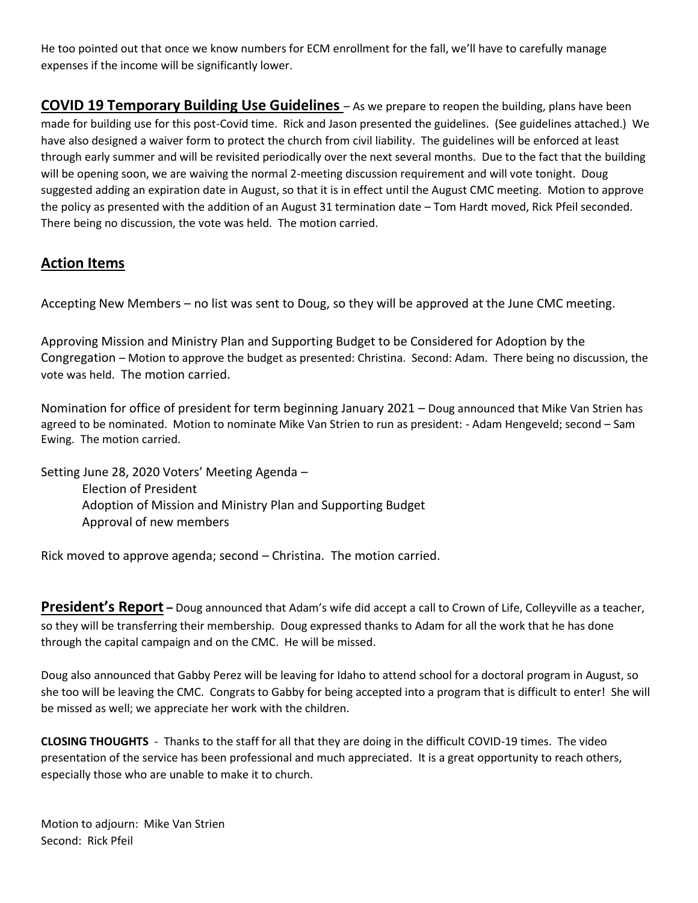He too pointed out that once we know numbers for ECM enrollment for the fall, we'll have to carefully manage expenses if the income will be significantly lower.

**COVID 19 Temporary Building Use Guidelines** – As we prepare to reopen the building, plans have been made for building use for this post-Covid time. Rick and Jason presented the guidelines. (See guidelines attached.) We have also designed a waiver form to protect the church from civil liability. The guidelines will be enforced at least through early summer and will be revisited periodically over the next several months. Due to the fact that the building will be opening soon, we are waiving the normal 2-meeting discussion requirement and will vote tonight. Doug suggested adding an expiration date in August, so that it is in effect until the August CMC meeting. Motion to approve the policy as presented with the addition of an August 31 termination date – Tom Hardt moved, Rick Pfeil seconded. There being no discussion, the vote was held. The motion carried.

### **Action Items**

Accepting New Members – no list was sent to Doug, so they will be approved at the June CMC meeting.

Approving Mission and Ministry Plan and Supporting Budget to be Considered for Adoption by the Congregation – Motion to approve the budget as presented: Christina. Second: Adam. There being no discussion, the vote was held. The motion carried.

Nomination for office of president for term beginning January 2021 – Doug announced that Mike Van Strien has agreed to be nominated. Motion to nominate Mike Van Strien to run as president: - Adam Hengeveld; second – Sam Ewing. The motion carried.

Setting June 28, 2020 Voters' Meeting Agenda – Election of President Adoption of Mission and Ministry Plan and Supporting Budget Approval of new members

Rick moved to approve agenda; second – Christina. The motion carried.

**President's Report** – Doug announced that Adam's wife did accept a call to Crown of Life, Colleyville as a teacher, so they will be transferring their membership. Doug expressed thanks to Adam for all the work that he has done through the capital campaign and on the CMC. He will be missed.

Doug also announced that Gabby Perez will be leaving for Idaho to attend school for a doctoral program in August, so she too will be leaving the CMC. Congrats to Gabby for being accepted into a program that is difficult to enter! She will be missed as well; we appreciate her work with the children.

**CLOSING THOUGHTS** - Thanks to the staff for all that they are doing in the difficult COVID-19 times. The video presentation of the service has been professional and much appreciated. It is a great opportunity to reach others, especially those who are unable to make it to church.

Motion to adjourn: Mike Van Strien Second: Rick Pfeil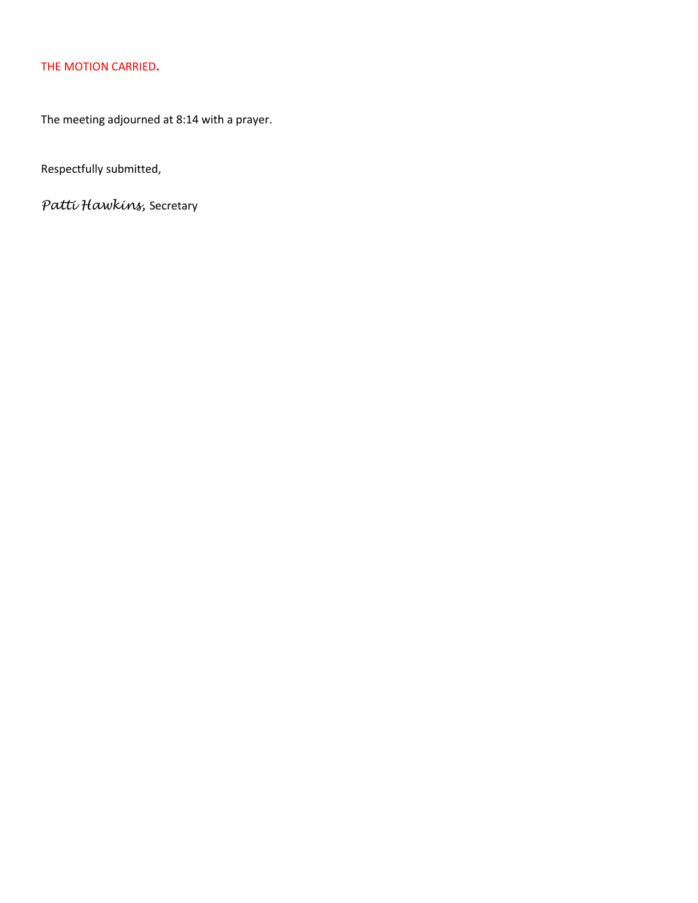### THE MOTION CARRIED**.**

The meeting adjourned at 8:14 with a prayer.

Respectfully submitted,

*Patti Hawkins,* Secretary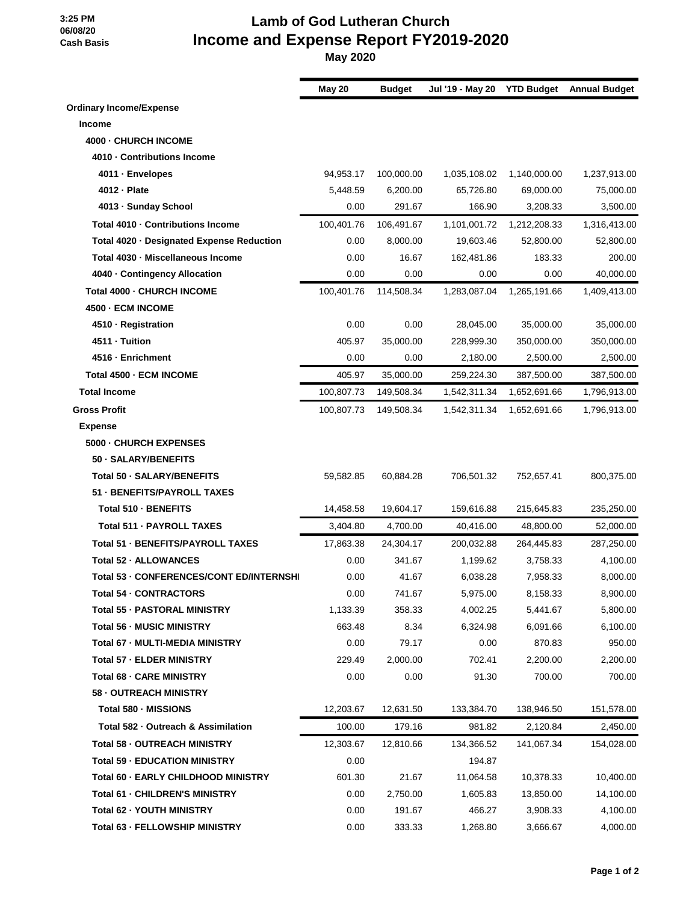**3:25 PM 06/08/20 Cash Basis**

### **Lamb of God Lutheran Church Income and Expense Report FY2019-2020**

 **May 2020**

|                                           | <b>May 20</b> | <b>Budget</b> | Jul '19 - May 20 | <b>YTD Budget</b> | <b>Annual Budget</b> |
|-------------------------------------------|---------------|---------------|------------------|-------------------|----------------------|
| <b>Ordinary Income/Expense</b>            |               |               |                  |                   |                      |
| <b>Income</b>                             |               |               |                  |                   |                      |
| 4000 - CHURCH INCOME                      |               |               |                  |                   |                      |
| 4010 - Contributions Income               |               |               |                  |                   |                      |
| 4011 - Envelopes                          | 94,953.17     | 100,000.00    | 1,035,108.02     | 1,140,000.00      | 1,237,913.00         |
| 4012 - Plate                              | 5,448.59      | 6,200.00      | 65,726.80        | 69,000.00         | 75,000.00            |
| 4013 - Sunday School                      | 0.00          | 291.67        | 166.90           | 3,208.33          | 3,500.00             |
| Total 4010 · Contributions Income         | 100,401.76    | 106,491.67    | 1,101,001.72     | 1,212,208.33      | 1,316,413.00         |
| Total 4020 · Designated Expense Reduction | 0.00          | 8,000.00      | 19,603.46        | 52,800.00         | 52,800.00            |
| Total 4030 · Miscellaneous Income         | 0.00          | 16.67         | 162,481.86       | 183.33            | 200.00               |
| 4040 - Contingency Allocation             | 0.00          | 0.00          | 0.00             | 0.00              | 40,000.00            |
| Total 4000 - CHURCH INCOME                | 100,401.76    | 114,508.34    | 1,283,087.04     | 1,265,191.66      | 1,409,413.00         |
| <b>4500 - ECM INCOME</b>                  |               |               |                  |                   |                      |
| 4510 - Registration                       | 0.00          | 0.00          | 28,045.00        | 35,000.00         | 35,000.00            |
| 4511 - Tuition                            | 405.97        | 35,000.00     | 228,999.30       | 350,000.00        | 350,000.00           |
| 4516 - Enrichment                         | 0.00          | 0.00          | 2,180.00         | 2,500.00          | 2,500.00             |
| Total 4500 - ECM INCOME                   | 405.97        | 35,000.00     | 259,224.30       | 387,500.00        | 387,500.00           |
| <b>Total Income</b>                       | 100,807.73    | 149,508.34    | 1,542,311.34     | 1,652,691.66      | 1,796,913.00         |
| <b>Gross Profit</b>                       | 100,807.73    | 149,508.34    | 1,542,311.34     | 1,652,691.66      | 1,796,913.00         |
| <b>Expense</b>                            |               |               |                  |                   |                      |
| 5000 - CHURCH EXPENSES                    |               |               |                  |                   |                      |
| 50 - SALARY/BENEFITS                      |               |               |                  |                   |                      |
| Total 50 - SALARY/BENEFITS                | 59,582.85     | 60,884.28     | 706,501.32       | 752,657.41        | 800,375.00           |
| 51 - BENEFITS/PAYROLL TAXES               |               |               |                  |                   |                      |
| Total 510 - BENEFITS                      | 14,458.58     | 19,604.17     | 159,616.88       | 215,645.83        | 235,250.00           |
| Total 511 - PAYROLL TAXES                 | 3,404.80      | 4,700.00      | 40.416.00        | 48,800.00         | 52,000.00            |
| <b>Total 51 - BENEFITS/PAYROLL TAXES</b>  | 17,863.38     | 24,304.17     | 200,032.88       | 264,445.83        | 287,250.00           |
| Total 52 - ALLOWANCES                     | 0.00          | 341.67        | 1,199.62         | 3,758.33          | 4,100.00             |
| Total 53 - CONFERENCES/CONT ED/INTERNSHI  | 0.00          | 41.67         | 6,038.28         | 7,958.33          | 8,000.00             |
| Total 54 · CONTRACTORS                    | 0.00          | 741.67        | 5,975.00         | 8,158.33          | 8,900.00             |
| <b>Total 55 - PASTORAL MINISTRY</b>       | 1,133.39      | 358.33        | 4,002.25         | 5,441.67          | 5,800.00             |
| <b>Total 56 - MUSIC MINISTRY</b>          | 663.48        | 8.34          | 6,324.98         | 6,091.66          | 6,100.00             |
| Total 67 - MULTI-MEDIA MINISTRY           | 0.00          | 79.17         | 0.00             | 870.83            | 950.00               |
| <b>Total 57 - ELDER MINISTRY</b>          | 229.49        | 2,000.00      | 702.41           | 2,200.00          | 2,200.00             |
| Total 68 - CARE MINISTRY                  | 0.00          | 0.00          | 91.30            | 700.00            | 700.00               |
| 58 - OUTREACH MINISTRY                    |               |               |                  |                   |                      |
| Total 580 - MISSIONS                      | 12,203.67     | 12,631.50     | 133,384.70       | 138,946.50        | 151,578.00           |
| Total 582 - Outreach & Assimilation       | 100.00        | 179.16        | 981.82           | 2,120.84          | 2,450.00             |
| Total 58 - OUTREACH MINISTRY              | 12,303.67     | 12,810.66     | 134,366.52       | 141,067.34        | 154,028.00           |
| <b>Total 59 - EDUCATION MINISTRY</b>      | 0.00          |               | 194.87           |                   |                      |
| Total 60 - EARLY CHILDHOOD MINISTRY       | 601.30        | 21.67         | 11,064.58        | 10,378.33         | 10,400.00            |
| <b>Total 61 - CHILDREN'S MINISTRY</b>     | 0.00          | 2,750.00      | 1,605.83         | 13,850.00         | 14,100.00            |
| <b>Total 62 - YOUTH MINISTRY</b>          | 0.00          | 191.67        | 466.27           | 3,908.33          | 4,100.00             |
| Total 63 - FELLOWSHIP MINISTRY            | 0.00          | 333.33        | 1,268.80         | 3,666.67          | 4,000.00             |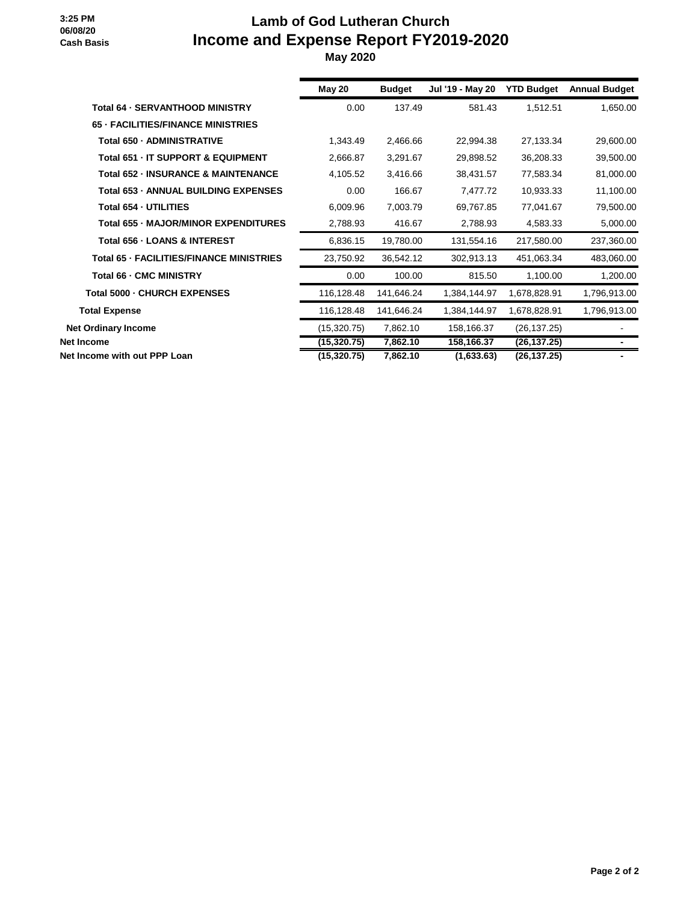#### **3:25 PM 06/08/20 Cash Basis**

### **Lamb of God Lutheran Church Income and Expense Report FY2019-2020**

 **May 2020**

|                                                 | May 20       | <b>Budget</b> | Jul '19 - May 20 | <b>YTD Budget</b> | <b>Annual Budget</b> |
|-------------------------------------------------|--------------|---------------|------------------|-------------------|----------------------|
| <b>Total 64 - SERVANTHOOD MINISTRY</b>          | 0.00         | 137.49        | 581.43           | 1,512.51          | 1,650.00             |
| <b>65 - FACILITIES/FINANCE MINISTRIES</b>       |              |               |                  |                   |                      |
| Total 650 - ADMINISTRATIVE                      | 1,343.49     | 2,466.66      | 22,994.38        | 27,133.34         | 29,600.00            |
| Total 651 - IT SUPPORT & EQUIPMENT              | 2,666.87     | 3,291.67      | 29,898.52        | 36,208.33         | 39,500.00            |
| <b>Total 652 - INSURANCE &amp; MAINTENANCE</b>  | 4,105.52     | 3,416.66      | 38,431.57        | 77,583.34         | 81,000.00            |
| Total 653 - ANNUAL BUILDING EXPENSES            | 0.00         | 166.67        | 7,477.72         | 10,933.33         | 11,100.00            |
| Total 654 - UTILITIES                           | 6,009.96     | 7,003.79      | 69,767.85        | 77,041.67         | 79,500.00            |
| Total 655 - MAJOR/MINOR EXPENDITURES            | 2,788.93     | 416.67        | 2,788.93         | 4,583.33          | 5,000.00             |
| Total 656 - LOANS & INTEREST                    | 6,836.15     | 19,780.00     | 131,554.16       | 217,580.00        | 237,360.00           |
| <b>Total 65 - FACILITIES/FINANCE MINISTRIES</b> | 23,750.92    | 36,542.12     | 302,913.13       | 451,063.34        | 483,060.00           |
| Total 66 - CMC MINISTRY                         | 0.00         | 100.00        | 815.50           | 1,100.00          | 1,200.00             |
| Total 5000 - CHURCH EXPENSES                    | 116,128.48   | 141,646.24    | 1,384,144.97     | 1,678,828.91      | 1,796,913.00         |
| <b>Total Expense</b>                            | 116,128.48   | 141,646.24    | 1,384,144.97     | 1,678,828.91      | 1,796,913.00         |
| <b>Net Ordinary Income</b>                      | (15, 320.75) | 7,862.10      | 158,166.37       | (26, 137.25)      |                      |
| Net Income                                      | (15, 320.75) | 7,862.10      | 158,166.37       | (26, 137.25)      |                      |
| Net Income with out PPP Loan                    | (15, 320.75) | 7,862.10      | (1,633.63)       | (26, 137.25)      |                      |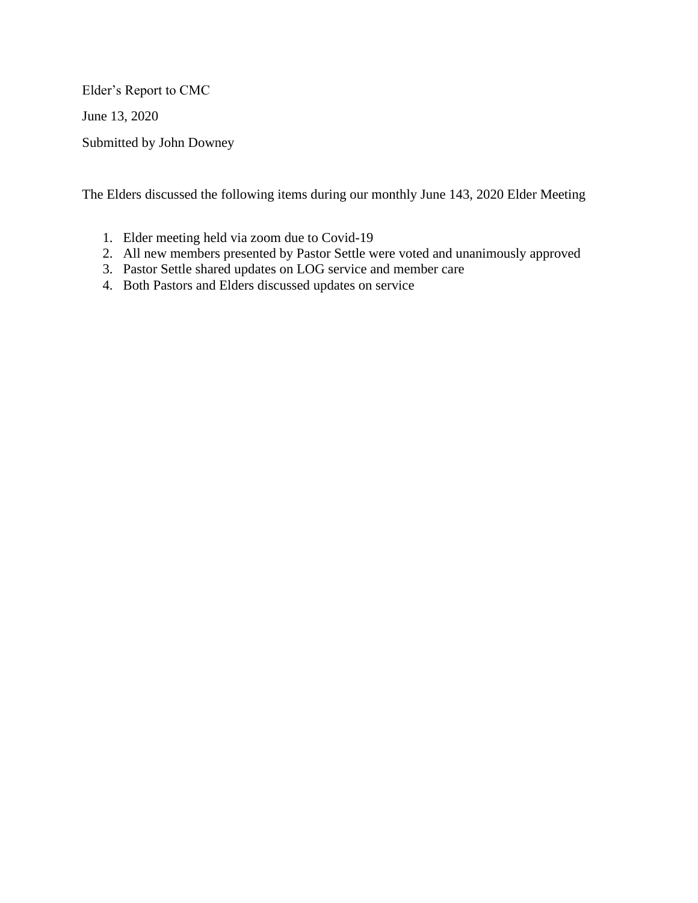Elder's Report to CMC

June 13, 2020

Submitted by John Downey

The Elders discussed the following items during our monthly June 143, 2020 Elder Meeting

- 1. Elder meeting held via zoom due to Covid-19
- 2. All new members presented by Pastor Settle were voted and unanimously approved
- 3. Pastor Settle shared updates on LOG service and member care
- 4. Both Pastors and Elders discussed updates on service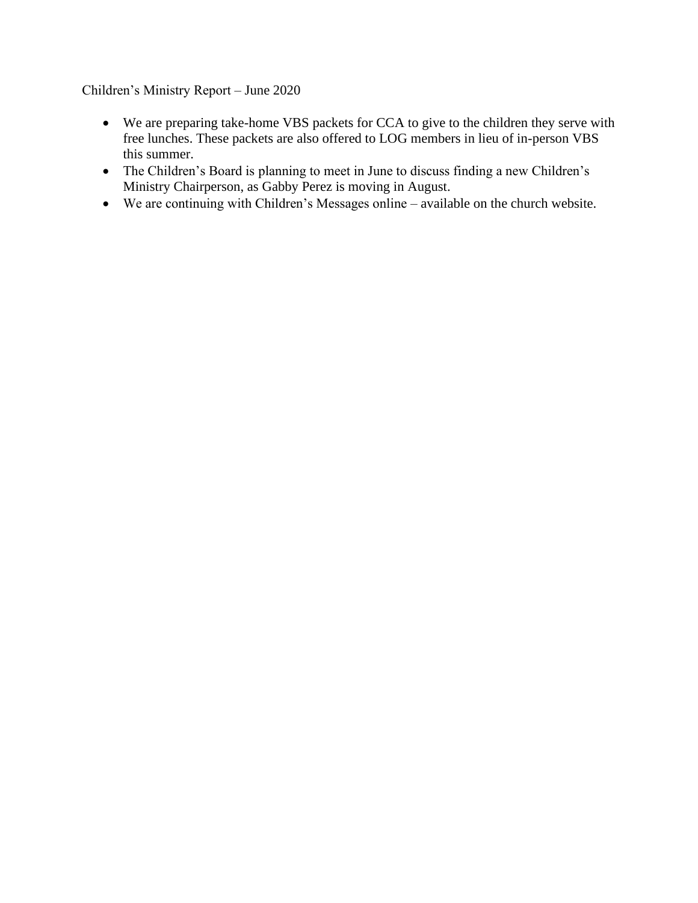### Children's Ministry Report – June 2020

- We are preparing take-home VBS packets for CCA to give to the children they serve with free lunches. These packets are also offered to LOG members in lieu of in-person VBS this summer.
- The Children's Board is planning to meet in June to discuss finding a new Children's Ministry Chairperson, as Gabby Perez is moving in August.
- We are continuing with Children's Messages online available on the church website.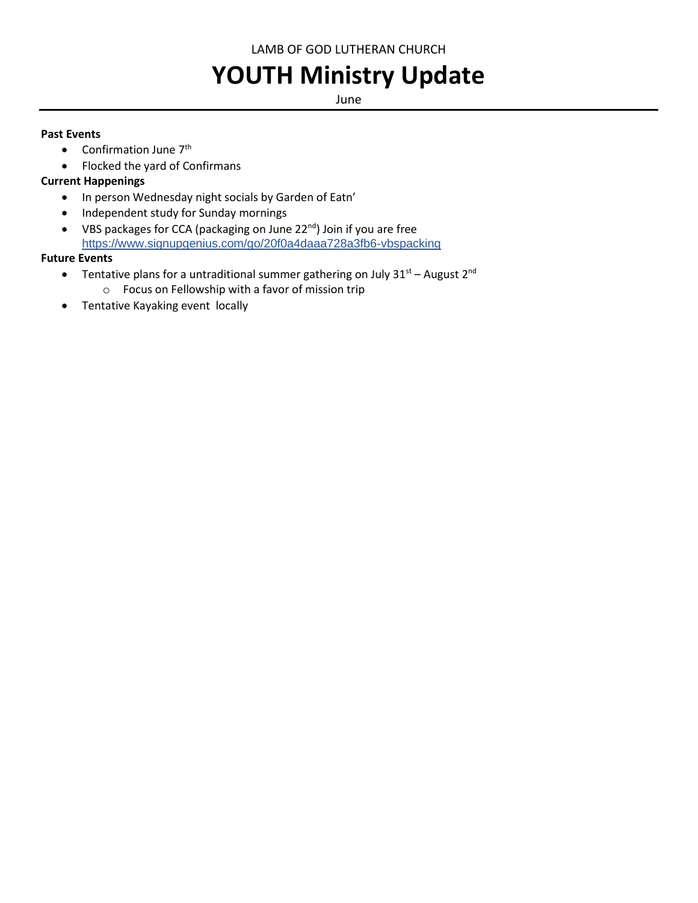LAMB OF GOD LUTHERAN CHURCH

# **YOUTH Ministry Update**

June

### **Past Events**

- Confirmation June  $7<sup>th</sup>$
- Flocked the yard of Confirmans

### **Current Happenings**

- In person Wednesday night socials by Garden of Eatn'
- Independent study for Sunday mornings
- VBS packages for CCA (packaging on June 22<sup>nd</sup>) Join if you are free <https://www.signupgenius.com/go/20f0a4daaa728a3fb6-vbspacking>

### **Future Events**

- Tentative plans for a untraditional summer gathering on July  $31^{st}$  August  $2^{nd}$ 
	- o Focus on Fellowship with a favor of mission trip
- Tentative Kayaking event locally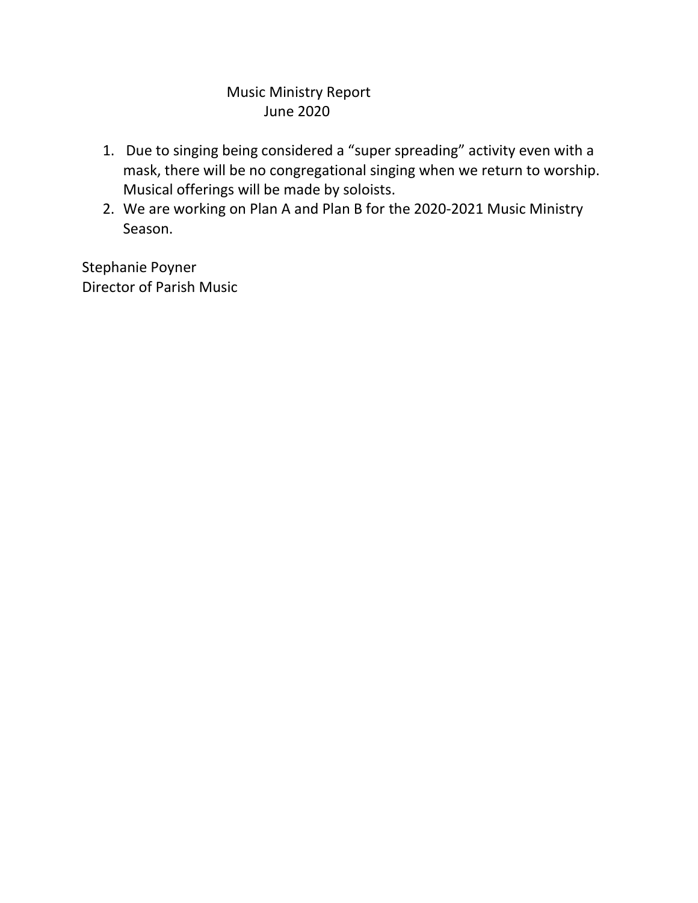### Music Ministry Report June 2020

- 1. Due to singing being considered a "super spreading" activity even with a mask, there will be no congregational singing when we return to worship. Musical offerings will be made by soloists.
- 2. We are working on Plan A and Plan B for the 2020-2021 Music Ministry Season.

Stephanie Poyner Director of Parish Music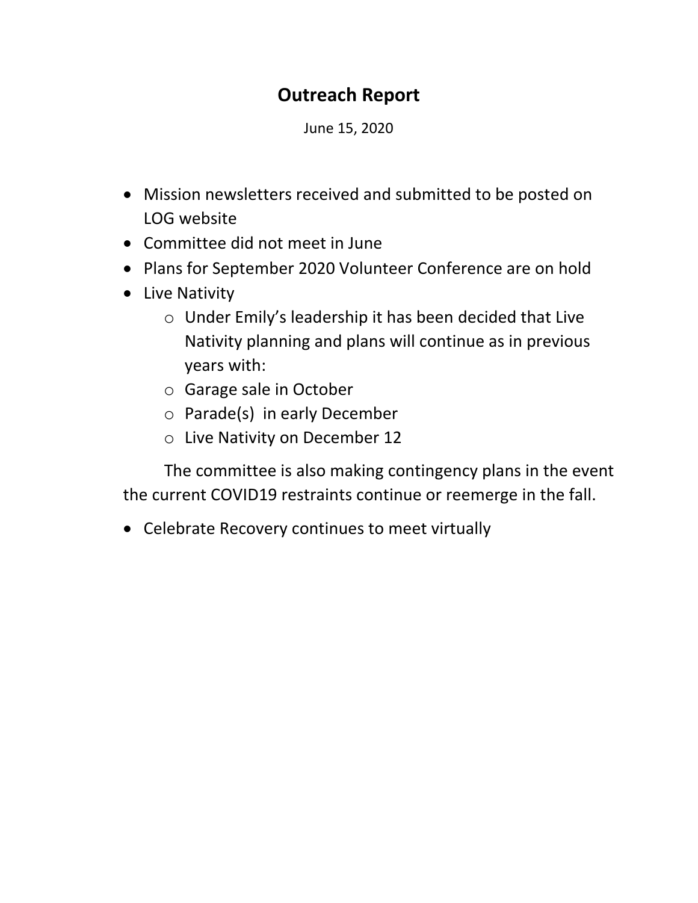## **Outreach Report**

June 15, 2020

- Mission newsletters received and submitted to be posted on LOG website
- Committee did not meet in June
- Plans for September 2020 Volunteer Conference are on hold
- Live Nativity
	- o Under Emily's leadership it has been decided that Live Nativity planning and plans will continue as in previous years with:
	- o Garage sale in October
	- o Parade(s) in early December
	- o Live Nativity on December 12

The committee is also making contingency plans in the event the current COVID19 restraints continue or reemerge in the fall.

• Celebrate Recovery continues to meet virtually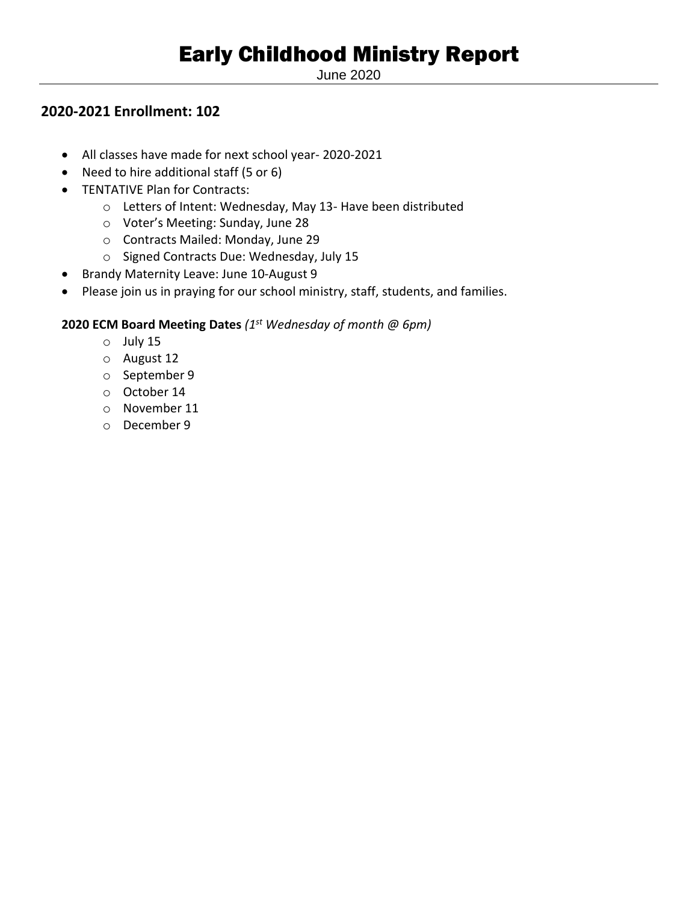June 2020

### **2020-2021 Enrollment: 102**

- All classes have made for next school year- 2020-2021
- Need to hire additional staff (5 or 6)
- TENTATIVE Plan for Contracts:
	- o Letters of Intent: Wednesday, May 13- Have been distributed
	- o Voter's Meeting: Sunday, June 28
	- o Contracts Mailed: Monday, June 29
	- o Signed Contracts Due: Wednesday, July 15
- Brandy Maternity Leave: June 10-August 9
- Please join us in praying for our school ministry, staff, students, and families.

### **2020 ECM Board Meeting Dates** *(1st Wednesday of month @ 6pm)*

- o July 15
- o August 12
- o September 9
- o October 14
- o November 11
- o December 9